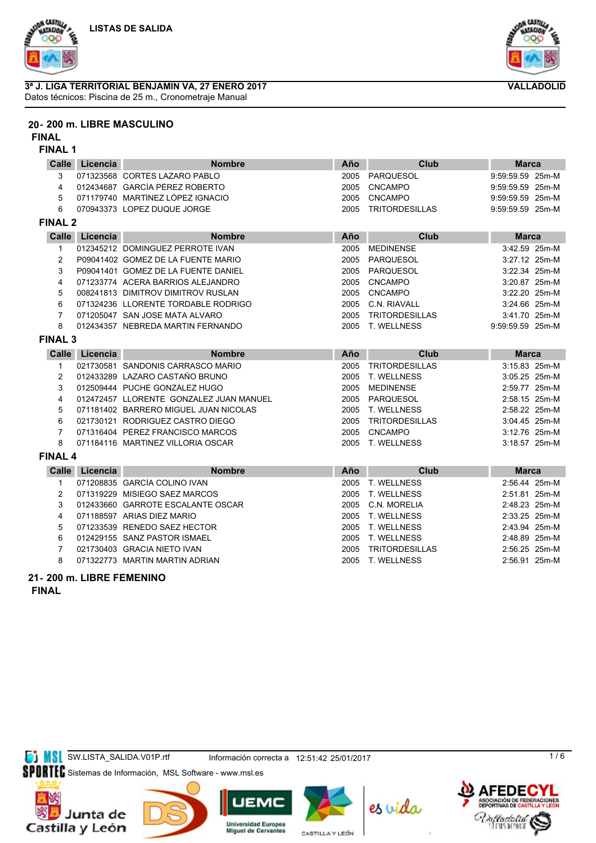



#### **3ª J. LIGA TERRITORIAL BENJAMIN VA, 27 ENERO 2017** Datos técnicos: Piscina de 25 m., Cronometraje Manual



**FINAL**

#### **FINAL 1**

| <b>Calle</b>   | Licencia | <b>Nombre</b>                           | Año  | Club                  | <b>Marca</b>     |
|----------------|----------|-----------------------------------------|------|-----------------------|------------------|
| 3              |          | 071323568 CORTES LAZARO PABLO           | 2005 | <b>PARQUESOL</b>      | 9:59:59.59 25m-M |
| 4              |          | 012434687 GARCÍA PÉREZ ROBERTO          | 2005 | <b>CNCAMPO</b>        | 9:59:59.59 25m-M |
| 5              |          | 071179740 MARTÍNEZ LÓPEZ IGNACIO        | 2005 | <b>CNCAMPO</b>        | 9:59:59.59 25m-M |
| 6              |          | 070943373 LOPEZ DUQUE JORGE             | 2005 | <b>TRITORDESILLAS</b> | 9:59:59.59 25m-M |
| <b>FINAL 2</b> |          |                                         |      |                       |                  |
| <b>Calle</b>   | Licencia | <b>Nombre</b>                           | Año  | Club                  | <b>Marca</b>     |
| 1              |          | 012345212 DOMINGUEZ PERROTE IVAN        | 2005 | <b>MEDINENSE</b>      | 3:42.59 25m-M    |
| $\overline{c}$ |          | P09041402 GOMEZ DE LA FUENTE MARIO      | 2005 | PARQUESOL             | 3:27.12 25m-M    |
| 3              |          | P09041401 GOMEZ DE LA FUENTE DANIEL     | 2005 | PARQUESOL             | 3:22.34 25m-M    |
| 4              |          | 071233774 ACERA BARRIOS ALEJANDRO       | 2005 | <b>CNCAMPO</b>        | 3:20.87 25m-M    |
| 5              |          | 008241813 DIMITROV DIMITROV RUSLAN      | 2005 | CNCAMPO               | 3:22.20 25m-M    |
| 6              |          | 071324236 LLORENTE TORDABLE RODRIGO     | 2005 | C.N. RIAVALL          | 3:24.66 25m-M    |
| 7              |          | 071205047 SAN JOSE MATA ALVARO          | 2005 | <b>TRITORDESILLAS</b> | 3:41.70 25m-M    |
| 8              |          | 012434357 NEBREDA MARTIN FERNANDO       | 2005 | T. WELLNESS           | 9:59:59.59 25m-M |
| <b>FINAL 3</b> |          |                                         |      |                       |                  |
| <b>Calle</b>   | Licencia | <b>Nombre</b>                           | Año  | Club                  | <b>Marca</b>     |
| 1              |          | 021730581 SANDONIS CARRASCO MARIO       | 2005 | <b>TRITORDESILLAS</b> | 3:15.83 25m-M    |
| $\overline{2}$ |          | 012433289 LAZARO CASTAÑO BRUNO          | 2005 | T. WELLNESS           | 3:05.25 25m-M    |
| 3              |          | 012509444 PUCHE GONZÁLEZ HUGO           | 2005 | <b>MEDINENSE</b>      | 2:59.77 25m-M    |
| 4              |          | 012472457 LLORENTE GONZALEZ JUAN MANUEL | 2005 | PARQUESOL             | 2:58.15 25m-M    |
| 5              |          | 071181402 BARRERO MIGUEL JUAN NICOLAS   | 2005 | T. WELLNESS           | 2:58.22 25m-M    |
| 6              |          | 021730121 RODRIGUEZ CASTRO DIEGO        | 2005 | <b>TRITORDESILLAS</b> | 3:04.45 25m-M    |
| 7              |          | 071316404 PÉREZ FRANCISCO MARCOS        | 2005 | CNCAMPO               | 3:12.76 25m-M    |
| 8              |          | 071184116 MARTINEZ VILLORIA OSCAR       | 2005 | T. WELLNESS           | 3:18.57 25m-M    |
| <b>FINAL 4</b> |          |                                         |      |                       |                  |
| Calle          | Licencia | <b>Nombre</b>                           | Año  | Club                  | <b>Marca</b>     |
| $\mathbf{1}$   |          | 071208835 GARCÍA COLINO IVAN            | 2005 | T. WELLNESS           | 2:56.44 25m-M    |
| 2              |          | 071319229 MISIEGO SAEZ MARCOS           | 2005 | T. WELLNESS           | 2:51.81 25m-M    |
| 3              |          | 012433660 GARROTE ESCALANTE OSCAR       | 2005 | C.N. MORELIA          | 2:48.23 25m-M    |
| 4              |          | 071188597 ARIAS DIEZ MARIO              | 2005 | T. WELLNESS           | 2:33.25 25m-M    |
| 5              |          | 071233539 RENEDO SAEZ HECTOR            | 2005 | T. WELLNESS           | 2:43.94 25m-M    |
| 6              |          | 012429155 SANZ PASTOR ISMAEL            | 2005 | T. WELLNESS           | 2:48.89 25m-M    |
| 7              |          | 021730403 GRACIA NIETO IVAN             | 2005 | <b>TRITORDESILLAS</b> | 2:56.25 25m-M    |
| 8              |          | 071322773 MARTIN MARTIN ADRIAN          | 2005 | T. WELLNESS           | 2:56.91 25m-M    |

### **21- 200 m. LIBRE FEMENINO**

**FINAL**



SI MSI SW.LISTA\_SALIDA.V01P.rtf Información correcta a 12:51:42 25/01/2017

SPORTEC Sistemas de Información, MSL Software - www.msl.es













 $1/6$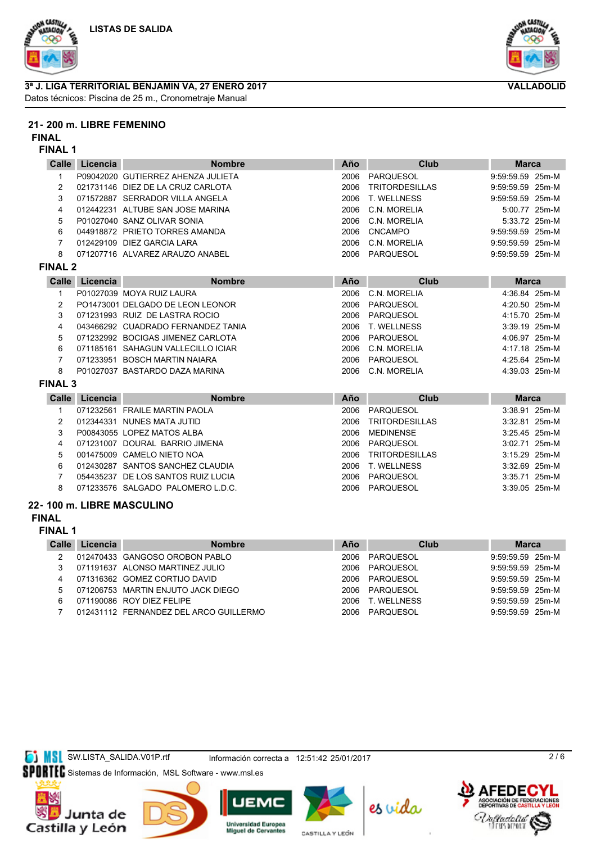





#### **3ª J. LIGA TERRITORIAL BENJAMIN VA, 27 ENERO 2017** Datos técnicos: Piscina de 25 m., Cronometraje Manual

### **21- 200 m. LIBRE FEMENINO**

**FINAL**

#### **FINAL 1**

| Calle          | Licencia | <b>Nombre</b>                      | Año  | Club                  | <b>Marca</b>     |
|----------------|----------|------------------------------------|------|-----------------------|------------------|
| 1              |          | P09042020 GUTIERREZ AHENZA JULIETA | 2006 | <b>PARQUESOL</b>      | 9:59:59.59 25m-M |
| 2              |          | 021731146 DIEZ DE LA CRUZ CARLOTA  | 2006 | <b>TRITORDESILLAS</b> | 9:59:59.59 25m-M |
| 3              |          | 071572887 SERRADOR VILLA ANGELA    | 2006 | <b>T. WELLNESS</b>    | 9:59:59.59 25m-M |
| 4              |          | 012442231 ALTUBE SAN JOSE MARINA   | 2006 | C.N. MORELIA          | 5:00.77 25m-M    |
| 5              |          | P01027040 SANZ OLIVAR SONIA        | 2006 | C.N. MORELIA          | 5:33.72 25m-M    |
| 6              |          | 044918872 PRIETO TORRES AMANDA     | 2006 | <b>CNCAMPO</b>        | 9:59:59.59 25m-M |
| 7              |          | 012429109 DIEZ GARCIA LARA         | 2006 | C.N. MORELIA          | 9:59:59.59 25m-M |
| 8              |          | 071207716 ALVAREZ ARAUZO ANABEL    | 2006 | <b>PARQUESOL</b>      | 9:59:59.59 25m-M |
| <b>FINAL 2</b> |          |                                    |      |                       |                  |
| Calle          | Licencia | <b>Nombre</b>                      | Año  | <b>Club</b>           | <b>Marca</b>     |
| 1              |          | P01027039 MOYA RUIZ LAURA          | 2006 | C.N. MORELIA          | 4:36.84 25m-M    |
| 2              |          | PO1473001 DELGADO DE LEON LEONOR   | 2006 | PARQUESOL             | 4:20.50 25m-M    |
| 3              |          | 071231993 RUIZ DE LASTRA ROCIO     | 2006 | <b>PARQUESOL</b>      | 4:15.70 25m-M    |
| 4              |          | 043466292 CUADRADO FERNANDEZ TANIA | 2006 | T. WELLNESS           | 3:39.19 25m-M    |
| 5              |          | 071232992 BOCIGAS JIMENEZ CARLOTA  | 2006 | <b>PARQUESOL</b>      | 4:06.97 25m-M    |
| 6              |          | 071185161 SAHAGUN VALLECILLO ICIAR | 2006 | C.N. MORELIA          | 4:17.18 25m-M    |
| 7              |          | 071233951 BOSCH MARTIN NAIARA      | 2006 | <b>PARQUESOL</b>      | 4:25.64 25m-M    |
| 8              |          | P01027037 BASTARDO DAZA MARINA     | 2006 | C.N. MORELIA          | 4:39.03 25m-M    |
| <b>FINAL 3</b> |          |                                    |      |                       |                  |
| Calle          | Licencia | <b>Nombre</b>                      | Año  | <b>Club</b>           | <b>Marca</b>     |
| 1              |          | 071232561 FRAILE MARTIN PAOLA      | 2006 | <b>PARQUESOL</b>      | 3:38.91 25m-M    |
| 2              |          | 012344331 NUNES MATA JUTID         | 2006 | <b>TRITORDESILLAS</b> | 3:32.81 25m-M    |
| 3              |          | P00843055 LOPEZ MATOS ALBA         | 2006 | <b>MEDINENSE</b>      | 3:25.45 25m-M    |
| 4              |          | 071231007 DOURAL BARRIO JIMENA     | 2006 | PARQUESOL             | 3:02.71 25m-M    |
| 5              |          | 001475009 CAMELO NIETO NOA         | 2006 | <b>TRITORDESILLAS</b> | 3:15.29 25m-M    |
| 6              |          | 012430287 SANTOS SANCHEZ CLAUDIA   | 2006 | <b>T. WELLNESS</b>    | 3:32.69 25m-M    |
| 7              |          | 054435237 DE LOS SANTOS RUIZ LUCIA | 2006 | PARQUESOL             | 3:35.71 25m-M    |
| 8              |          | 071233576 SALGADO PALOMERO L.D.C.  | 2006 | <b>PARQUESOL</b>      | 3:39.05 25m-M    |

#### **22- 100 m. LIBRE MASCULINO**

#### **FINAL**

**FINAL 1**

| Calle | Licencia | <b>Nombre</b>                          | Año   | Club           | <b>Marca</b>       |  |
|-------|----------|----------------------------------------|-------|----------------|--------------------|--|
|       |          | 012470433 GANGOSO OROBON PABLO         |       | 2006 PARQUESOL | $9:59:59.59$ 25m-M |  |
|       |          | 071191637 ALONSO MARTINEZ JULIO        |       | 2006 PARQUESOL | 9:59:59.59 25m-M   |  |
| 4     |          | 071316362 GOMEZ CORTIJO DAVID          |       | 2006 PAROUESOL | 9:59:59.59 25m-M   |  |
| 5.    |          | 071206753 MARTIN ENJUTO JACK DIEGO     |       | 2006 PAROUESOL | 9:59:59.59 25m-M   |  |
| 6     |          | 071190086 ROY DIEZ FELIPE              | 2006. | T. WELLNESS    | 9:59:59.59 25m-M   |  |
|       |          | 012431112 FERNANDEZ DEL ARCO GUILLERMO |       | 2006 PAROUESOL | 9:59:59.59 25m-M   |  |

SW.LISTA\_SALIDA.V01P.rtf Información correcta a 12:51:42 25/01/2017

SPORTEC Sistemas de Información, MSL Software - www.msl.es









CASTILLA Y LEÓN



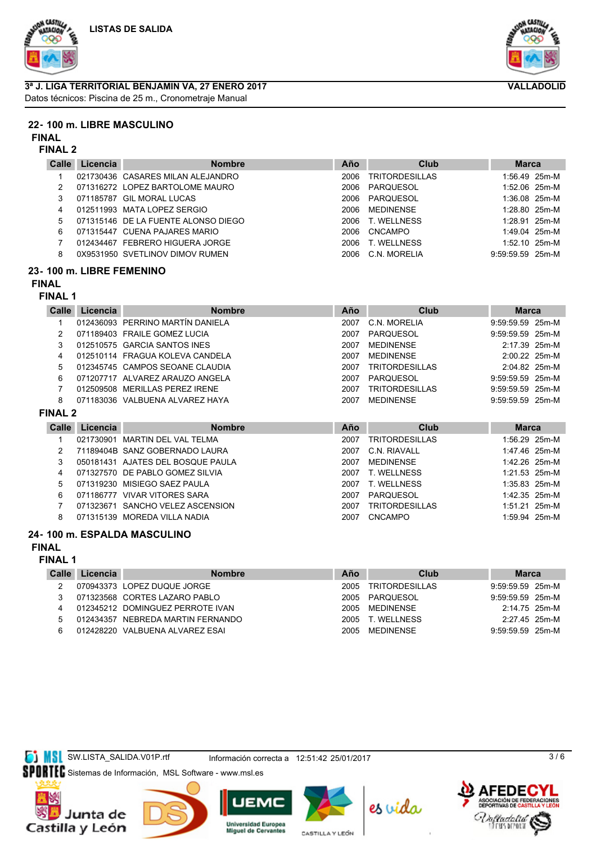





# **3ª J. LIGA TERRITORIAL BENJAMIN VA, 27 ENERO 2017**

Datos técnicos: Piscina de 25 m., Cronometraje Manual

## **22- 100 m. LIBRE MASCULINO**

#### **FINAL**

#### **FINAL 2**

| <b>Calle</b> | Licencia | <b>Nombre</b>                       | Año  | Club           | <b>Marca</b>       |  |
|--------------|----------|-------------------------------------|------|----------------|--------------------|--|
|              |          | 021730436 CASARES MILAN ALEJANDRO   | 2006 | TRITORDESILLAS | $1:56.49$ 25m-M    |  |
| 2            |          | 071316272 LOPEZ BARTOLOME MAURO     | 2006 | PARQUESOL      | $1:52.06$ 25m-M    |  |
| 3            |          | 071185787 GIL MORAL LUCAS           | 2006 | PARQUESOL      | $1:36.08$ 25m-M    |  |
| 4            |          | 012511993 MATA LOPEZ SERGIO         | 2006 | MEDINENSE      | 1:28.80 25m-M      |  |
| 5.           |          | 071315146 DE LA FUENTE ALONSO DIEGO | 2006 | T. WELLNESS    | $1:28.91$ 25m-M    |  |
| 6            |          | 071315447 CUENA PAJARES MARIO       | 2006 | CNCAMPO        | 1:49.04 25m-M      |  |
|              |          | 012434467 FEBRERO HIGUERA JORGE     | 2006 | T. WELLNESS    | $1:52.10$ 25m-M    |  |
| 8            |          | 0X9531950 SVETLINOV DIMOV RUMEN     | 2006 | C.N. MORELIA   | $9:59:59.59$ 25m-M |  |

## **23- 100 m. LIBRE FEMENINO**

## **FINAL**

## **FINAL 1**

| Calle          | Licencia  | <b>Nombre</b>                          | Año  | Club                  | <b>Marca</b>       |  |
|----------------|-----------|----------------------------------------|------|-----------------------|--------------------|--|
|                |           | 012436093 PERRINO MARTÍN DANIELA       | 2007 | C.N. MORELIA          | 9:59:59.59 25m-M   |  |
| 2              |           | 071189403 FRAILE GOMEZ LUCIA           | 2007 | <b>PARQUESOL</b>      | 9:59:59.59 25m-M   |  |
| 3              |           | 012510575 GARCIA SANTOS INES           | 2007 | <b>MEDINENSE</b>      | 2:17.39 25m-M      |  |
| 4              |           | 012510114 FRAGUA KOLEVA CANDELA        | 2007 | <b>MEDINENSE</b>      | 2:00.22 25m-M      |  |
| 5              |           | 012345745 CAMPOS SEOANE CLAUDIA        | 2007 | <b>TRITORDESILLAS</b> | 2:04.82 25m-M      |  |
| 6              |           | 071207717 ALVAREZ ARAUZO ANGELA        | 2007 | PAROUESOL             | 9:59:59.59 25m-M   |  |
|                | 012509508 | <b>MERILLAS PEREZ IRENE</b>            | 2007 | <b>TRITORDESILLAS</b> | $9:59:59.59$ 25m-M |  |
| 8              |           | 071183036 VALBUENA ALVAREZ HAYA        | 2007 | <b>MEDINENSE</b>      | 9:59:59.59 25m-M   |  |
| <b>FINAL 2</b> |           |                                        |      |                       |                    |  |
| Calle          | Licencia  | <b>Nombre</b>                          | Año  | Club                  | <b>Marca</b>       |  |
|                | 021730901 | MARTIN DEL VAL TELMA                   | 2007 | <b>TRITORDESILLAS</b> | 1:56.29 25m-M      |  |
| 2              |           | 71189404B SANZ GOBERNADO LAURA         | 2007 | C.N. RIAVALL          | 1:47.46 25m-M      |  |
| ີ              |           | $ORO404424$ A IATER DEL BOROLIE DALILA | 2007 | <b>MEDIMENICE</b>     | $1.4222$ $25m$ M   |  |

|    | 050181431 AJATES DEL BOSQUE PAULA | 2007 | MEDINENSE        | 1:42.26 25m-M   |  |
|----|-----------------------------------|------|------------------|-----------------|--|
|    | 071327570 DE PABLO GOMEZ SILVIA   |      | 2007 T. WELLNESS | 1:21.53 25m-M   |  |
|    | 5 071319230 MISIEGO SAEZ PAULA    |      | 2007 T. WELLNESS | $1:35.83$ 25m-M |  |
| 6. | 071186777_VIVAR VITORES SARA      |      | 2007 PARQUESOL   | 1:42.35 25m-M   |  |
|    | 071323671 SANCHO VELEZ ASCENSION  | 2007 | TRITORDESILLAS   | 1:51.21 25m-M   |  |
|    | 071315139 MOREDA VILLA NADIA      |      | 2007 CNCAMPO     | 1:59.94 25m-M   |  |

## **24- 100 m. ESPALDA MASCULINO**

## **FINAL**

### **FINAL 1**

| Calle | Licencia | <b>Nombre</b>                     | Año  | Club             | <b>Marca</b>       |  |
|-------|----------|-----------------------------------|------|------------------|--------------------|--|
|       |          | 070943373 LOPEZ DUQUE JORGE       | 2005 | TRITORDESILLAS   | $9:59:59.59$ 25m-M |  |
|       |          | 071323568 CORTES LAZARO PABLO     |      | 2005 PARQUESOL   | $9:59:59.59$ 25m-M |  |
|       |          | 012345212 DOMINGUEZ PERROTE IVAN  |      | 2005 MEDINENSE   | 2:14.75 25m-M      |  |
| 5     |          | 012434357 NEBREDA MARTIN FERNANDO |      | 2005 T WELL NESS | 2:27.45 25m-M      |  |
| ิค    |          | 012428220 VALBUENA ALVAREZ ESAI   | 2005 | MEDINENSE        | $9:59:59.59$ 25m-M |  |

**SI MSL** SW.LISTA\_SALIDA.V01P.rtf Información correcta a 12:51:42 25/01/2017

SPORTEC Sistemas de Información, MSL Software - www.msl.es







**Universidad Europea**<br>Miguel de Cervantes CASTILLA Y LEÓN







 $3/6$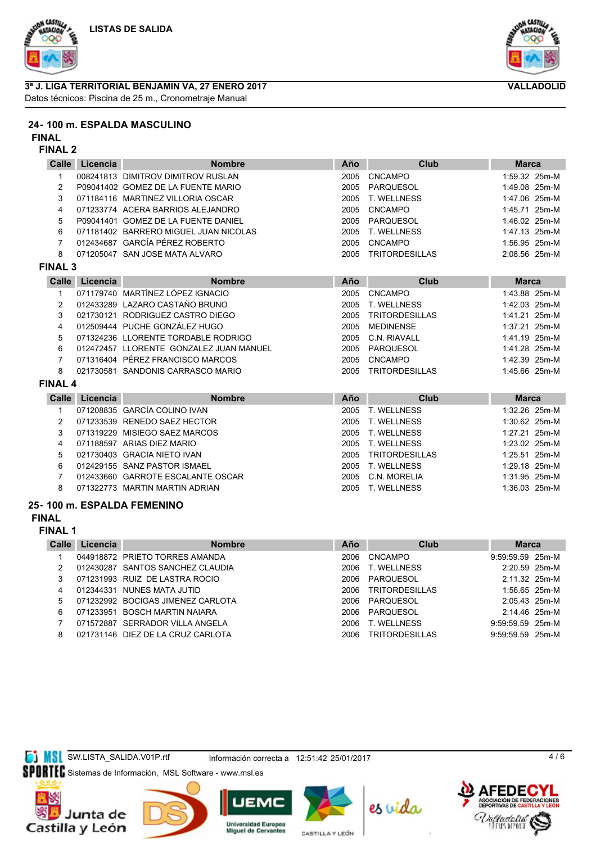

#### **3ª J. LIGA TERRITORIAL BENJAMIN VA, 27 ENERO 2017** Datos técnicos: Piscina de 25 m., Cronometraje Manual



#### **FINAL**

#### **FINAL 2**

| <b>Calle</b>   | Licencia | <b>Nombre</b>                           | Año  | Club                  | <b>Marca</b>  |
|----------------|----------|-----------------------------------------|------|-----------------------|---------------|
|                |          | 008241813 DIMITROV DIMITROV RUSLAN      | 2005 | <b>CNCAMPO</b>        | 1:59.32 25m-M |
| $\overline{c}$ |          | P09041402 GOMEZ DE LA FUENTE MARIO      | 2005 | <b>PARQUESOL</b>      | 1:49.08 25m-M |
| 3              |          | 071184116 MARTINEZ VILLORIA OSCAR       | 2005 | <b>T. WELLNESS</b>    | 1:47.06 25m-M |
| 4              |          | 071233774 ACERA BARRIOS ALEJANDRO       | 2005 | <b>CNCAMPO</b>        | 1:45.71 25m-M |
| 5              |          | P09041401 GOMEZ DE LA FUENTE DANIEL     | 2005 | PARQUESOL             | 1:46.02 25m-M |
| 6              |          | 071181402 BARRERO MIGUEL JUAN NICOLAS   | 2005 | <b>T. WELLNESS</b>    | 1:47.13 25m-M |
| 7              |          | 012434687 GARCÍA PÉREZ ROBERTO          | 2005 | <b>CNCAMPO</b>        | 1:56.95 25m-M |
| 8              |          | 071205047 SAN JOSE MATA ALVARO          | 2005 | <b>TRITORDESILLAS</b> | 2:08.56 25m-M |
| <b>FINAL 3</b> |          |                                         |      |                       |               |
| Calle          | Licencia | <b>Nombre</b>                           | Año  | Club                  | <b>Marca</b>  |
| 1              |          | 071179740 MARTÍNEZ LÓPEZ IGNACIO        | 2005 | <b>CNCAMPO</b>        | 1:43.88 25m-M |
| 2              |          | 012433289 LAZARO CASTAÑO BRUNO          | 2005 | <b>T. WELLNESS</b>    | 1:42.03 25m-M |
| 3              |          | 021730121 RODRIGUEZ CASTRO DIEGO        | 2005 | <b>TRITORDESILLAS</b> | 1:41.21 25m-M |
| 4              |          | 012509444 PUCHE GONZÁLEZ HUGO           | 2005 | <b>MEDINENSE</b>      | 1:37.21 25m-M |
| 5              |          | 071324236 LLORENTE TORDABLE RODRIGO     | 2005 | C.N. RIAVALL          | 1:41.19 25m-M |
| 6              |          | 012472457 LLORENTE GONZALEZ JUAN MANUEL | 2005 | PARQUESOL             | 1:41.28 25m-M |
| 7              |          | 071316404 PÉREZ FRANCISCO MARCOS        | 2005 | <b>CNCAMPO</b>        | 1:42.39 25m-M |
| 8              |          | 021730581 SANDONIS CARRASCO MARIO       | 2005 | <b>TRITORDESILLAS</b> | 1:45.66 25m-M |
| <b>FINAL 4</b> |          |                                         |      |                       |               |
| Calle          | Licencia | <b>Nombre</b>                           | Año  | Club                  | <b>Marca</b>  |
| 1              |          | 071208835 GARCÍA COLINO IVAN            | 2005 | <b>T. WELLNESS</b>    | 1:32.26 25m-M |
| 2              |          | 071233539 RENEDO SAEZ HECTOR            | 2005 | T. WELLNESS           | 1:30.62 25m-M |
| 3              |          | 071319229 MISIEGO SAEZ MARCOS           | 2005 | <b>T. WELLNESS</b>    | 1:27.21 25m-M |
| 4              |          | 071188597 ARIAS DIEZ MARIO              | 2005 | <b>T. WELLNESS</b>    | 1:23.02 25m-M |
| 5              |          | 021730403 GRACIA NIETO IVAN             | 2005 | <b>TRITORDESILLAS</b> | 1:25.51 25m-M |
| 6              |          | 012429155 SANZ PASTOR ISMAEL            | 2005 | <b>T. WELLNESS</b>    | 1:29.18 25m-M |
| 7              |          | 012433660 GARROTE ESCALANTE OSCAR       | 2005 | C.N. MORELIA          | 1:31.95 25m-M |
| 8              |          | 071322773 MARTIN MARTIN ADRIAN          | 2005 | <b>T. WELLNESS</b>    | 1:36.03 25m-M |
|                |          |                                         |      |                       |               |

#### **25- 100 m. ESPALDA FEMENINO**

#### **FINAL**

#### **FINAL 1**

| Calle | Licencia | <b>Nombre</b>                     | Año   | Club                  | <b>Marca</b>       |  |
|-------|----------|-----------------------------------|-------|-----------------------|--------------------|--|
|       |          | 044918872 PRIETO TORRES AMANDA    | 2006  | CNCAMPO               | $9:59:59.59$ 25m-M |  |
|       |          | 012430287 SANTOS SANCHEZ CLAUDIA  | 2006  | T. WELLNESS           | 2:20.59 25m-M      |  |
|       |          | 071231993 RUIZ DE LASTRA ROCIO    | 2006  | PARQUESOL             | 2:11.32 25m-M      |  |
| 4     |          | 012344331 NUNES MATA JUTID        | 2006  | <b>TRITORDESILLAS</b> | 1:56.65 25m-M      |  |
| 5     |          | 071232992 BOCIGAS JIMENEZ CARLOTA | 2006  | PARQUESOL             | $2:05.43$ 25m-M    |  |
| 6     |          | 071233951 BOSCH MARTIN NAIARA     | 2006  | PARQUESOL             | $2:14.46$ 25m-M    |  |
|       |          | 071572887 SERRADOR VILLA ANGELA   | 2006  | T. WELLNESS           | $9:59:59.59$ 25m-M |  |
| 8     |          | 021731146 DIEZ DE LA CRUZ CARLOTA | 2006. | <b>TRITORDESILLAS</b> | $9:59:59.59$ 25m-M |  |
|       |          |                                   |       |                       |                    |  |



SPORTEC Sistemas de Información, MSL Software - www.msl.es





**UEM** 



**Universidad Europea**<br>Miguel de Cervantes CASTILLA Y LEÓN





4 / 6



**VALLADOLID**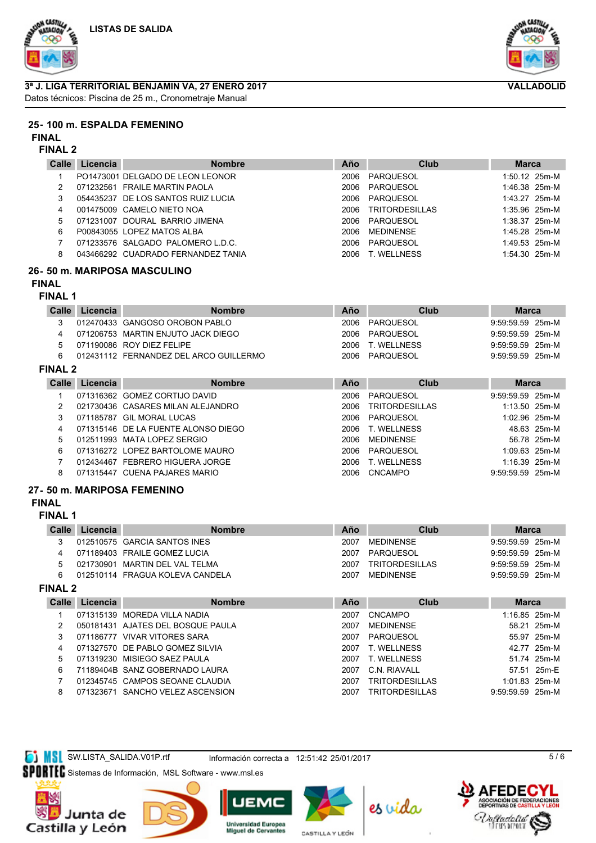





**VALLADOLID**

## **3ª J. LIGA TERRITORIAL BENJAMIN VA, 27 ENERO 2017**

Datos técnicos: Piscina de 25 m., Cronometraje Manual

### **25- 100 m. ESPALDA FEMENINO**

#### **FINAL**

#### **FINAL 2**

| Calle | Licencia | <b>Nombre</b>                      | Año  | Club           | <b>Marca</b>    |  |
|-------|----------|------------------------------------|------|----------------|-----------------|--|
|       |          | PO1473001 DELGADO DE LEON LEONOR   | 2006 | PARQUESOL      | $1:50.12$ 25m-M |  |
|       |          | 071232561 FRAILE MARTIN PAOLA      | 2006 | PARQUESOL      | $1:46.38$ 25m-M |  |
|       |          | 054435237 DE LOS SANTOS RUIZ LUCIA | 2006 | PAROUESOL      | 1:43.27 25m-M   |  |
| 4     |          | 001475009 CAMELO NIETO NOA         | 2006 | TRITORDESILLAS | $1:35.96$ 25m-M |  |
| 5.    |          | 071231007 DOURAL BARRIO JIMENA     | 2006 | PARQUESOL      | $1:38.37$ 25m-M |  |
| 6     |          | P00843055 LOPEZ MATOS ALBA         | 2006 | MEDINENSE      | 1:45.28 25m-M   |  |
|       |          | 071233576 SALGADO PALOMERO L.D.C.  | 2006 | PAROUESOL      | $1:49.53$ 25m-M |  |
| 8     |          | 043466292 CUADRADO FERNANDEZ TANIA | 2006 | T. WELLNESS    | $1:54.30$ 25m-M |  |

## **26- 50 m. MARIPOSA MASCULINO**

## **FINAL**

#### **FINAL 1**

| Calle          | Licencia | <b>Nombre</b>                          | Año  | Club                  | <b>Marca</b>       |
|----------------|----------|----------------------------------------|------|-----------------------|--------------------|
|                |          | 012470433 GANGOSO OROBON PABLO         | 2006 | PARQUESOL             | 9:59:59.59 25m-M   |
|                |          | 071206753 MARTIN ENJUTO JACK DIEGO     | 2006 | PAROUESOL             | $9:59:59.59$ 25m-M |
| 5              |          | 071190086 ROY DIEZ FELIPE              | 2006 | T. WELLNESS           | $9:59:59.59$ 25m-M |
| 6              |          | 012431112 FERNANDEZ DEL ARCO GUILLERMO | 2006 | PAROUESOL             | $9:59:59.59$ 25m-M |
| <b>FINAL 2</b> |          |                                        |      |                       |                    |
| Calle          | Licencia | <b>Nombre</b>                          | Año  | Club                  | <b>Marca</b>       |
|                |          | 071316362 GOMEZ CORTIJO DAVID          | 2006 | PARQUESOL             | $9:59:59.59$ 25m-M |
|                |          | 021730436 CASARES MILAN ALEJANDRO      | 2006 | <b>TRITORDESILLAS</b> | $1:13.50$ 25m-M    |

|    | 071185787 GIL MORAL LUCAS           | 2006 PARQUESOL   | 1:02.96 25m-M    |             |
|----|-------------------------------------|------------------|------------------|-------------|
| 4  | 071315146 DE LA FUENTE ALONSO DIEGO | 2006 T. WELLNESS |                  | 48.63 25m-M |
| 5. | 012511993 MATA LOPEZ SERGIO         | 2006 MEDINENSE   |                  | 56.78 25m-M |
| 6. | 071316272 LOPEZ BARTOLOME MAURO     | 2006 PARQUESOL   | 1:09.63 25m-M    |             |
|    | 012434467 FEBRERO HIGUERA JORGE     | 2006 T. WELLNESS | $1:16.39$ 25m-M  |             |
|    | 071315447 CUENA PAJARES MARIO       | 2006 CNCAMPO     | 9:59:59.59 25m-M |             |
|    |                                     |                  |                  |             |

## **27- 50 m. MARIPOSA FEMENINO**

## **FINAL**

### **FINAL 1**

| Calle | Licencia | <b>Nombre</b>                   | Año  | Club           | Marca              |  |
|-------|----------|---------------------------------|------|----------------|--------------------|--|
|       |          | 012510575 GARCIA SANTOS INES    | 2007 | MEDINENSE      | $9:59:59.59$ 25m-M |  |
|       |          | 071189403 FRAILE GOMEZ LUCIA    |      | 2007 PARQUESOL | $9:59:59.59$ 25m-M |  |
| 5     |          | 021730901 MARTIN DEL VAL TELMA  | 2007 | TRITORDESILLAS | $9:59:59.59$ 25m-M |  |
|       |          | 012510114 FRAGUA KOLEVA CANDELA | 2007 | MFDINFNSF      | $9:59:59.59$ 25m-M |  |
|       |          |                                 |      |                |                    |  |

## **FINAL 2**

| Calle | Licencia | <b>Nombre</b>                     | Año  | Club                  | <b>Marca</b>       |             |
|-------|----------|-----------------------------------|------|-----------------------|--------------------|-------------|
|       |          | 071315139 MOREDA VILLA NADIA      | 2007 | <b>CNCAMPO</b>        | $1:16.85$ 25m-M    |             |
|       |          | 050181431 AJATES DEL BOSQUE PAULA | 2007 | <b>MEDINENSE</b>      |                    | 58.21 25m-M |
| 3     |          | 071186777 VIVAR VITORES SARA      | 2007 | PAROUESOL             |                    | 55.97 25m-M |
| 4     |          | 071327570 DE PABLO GOMEZ SILVIA   | 2007 | T. WELLNESS           |                    | 42.77 25m-M |
| 5     |          | 071319230 MISIEGO SAEZ PAULA      | 2007 | T. WELLNESS           |                    | 51.74 25m-M |
| 6     |          | 71189404B SANZ GOBERNADO LAURA    | 2007 | C.N. RIAVALL          |                    | 57.51 25m-E |
|       |          | 012345745 CAMPOS SEOANE CLAUDIA   | 2007 | <b>TRITORDESILLAS</b> | $1:01.83$ 25m-M    |             |
| 8     |          | 071323671 SANCHO VELEZ ASCENSION  | 2007 | TRITORDESILLAS        | $9:59:59.59$ 25m-M |             |

## SW.LISTA\_SALIDA.V01P.rtf Información correcta a 12:51:42 25/01/2017

SPORTEC Sistemas de Información, MSL Software - www.msl.es